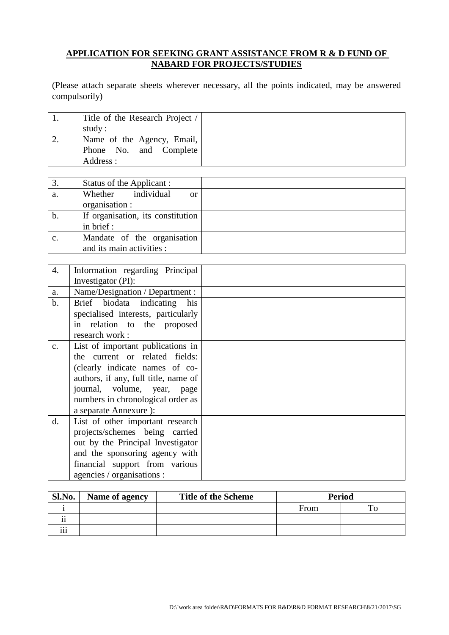## **APPLICATION FOR SEEKING GRANT ASSISTANCE FROM R & D FUND OF NABARD FOR PROJECTS/STUDIES**

(Please attach separate sheets wherever necessary, all the points indicated, may be answered compulsorily)

| Title of the Research Project / |  |
|---------------------------------|--|
| study :                         |  |
| Name of the Agency, Email,      |  |
| Phone No. and Complete          |  |
| Address :                       |  |

| 3.             | Status of the Applicant:           |  |
|----------------|------------------------------------|--|
| a.             | individual<br>Whether<br><b>or</b> |  |
|                | organisation :                     |  |
| b.             | If organisation, its constitution  |  |
|                | in brief :                         |  |
| $\mathbf{c}$ . | Mandate of the organisation        |  |
|                | and its main activities :          |  |

| 4.            | Information regarding Principal<br>Investigator (PI): |  |
|---------------|-------------------------------------------------------|--|
| a.            | Name/Designation / Department :                       |  |
| $\mathbf b$ . | Brief biodata indicating<br>his                       |  |
|               | specialised interests, particularly                   |  |
|               | in relation to the proposed                           |  |
|               | research work:                                        |  |
| $C_{\bullet}$ | List of important publications in                     |  |
|               | the current or related fields:                        |  |
|               | (clearly indicate names of co-                        |  |
|               | authors, if any, full title, name of                  |  |
|               | journal, volume, year, page                           |  |
|               | numbers in chronological order as                     |  |
|               | a separate Annexure :                                 |  |
| d.            | List of other important research                      |  |
|               | projects/schemes being carried                        |  |
|               | out by the Principal Investigator                     |  |
|               | and the sponsoring agency with                        |  |
|               | financial support from various                        |  |
|               | agencies / organisations :                            |  |

| Sl.No.          | Name of agency | <b>Title of the Scheme</b> | <b>Period</b> |  |
|-----------------|----------------|----------------------------|---------------|--|
|                 |                |                            | From          |  |
| $\cdot \cdot$   |                |                            |               |  |
| $\cdots$<br>111 |                |                            |               |  |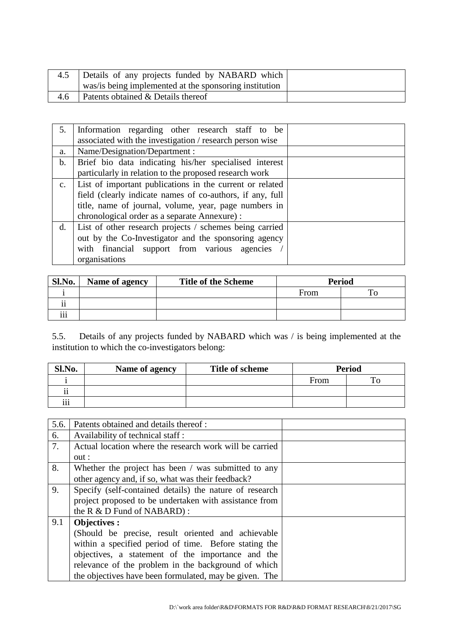| 4.5 | Details of any projects funded by NABARD which         |  |
|-----|--------------------------------------------------------|--|
|     | was/is being implemented at the sponsoring institution |  |
| 4.6 | Patents obtained & Details thereof                     |  |

| 5.             | Information regarding other research staff to be          |
|----------------|-----------------------------------------------------------|
|                | associated with the investigation / research person wise  |
| a.             | Name/Designation/Department :                             |
| $\mathbf{b}$ . | Brief bio data indicating his/her specialised interest    |
|                | particularly in relation to the proposed research work    |
| $C_{\bullet}$  | List of important publications in the current or related  |
|                | field (clearly indicate names of co-authors, if any, full |
|                | title, name of journal, volume, year, page numbers in     |
|                | chronological order as a separate Annexure) :             |
| d.             | List of other research projects / schemes being carried   |
|                | out by the Co-Investigator and the sponsoring agency      |
|                | with financial support from various agencies              |
|                | organisations                                             |

| Sl.No.          | Name of agency | <b>Title of the Scheme</b> | <b>Period</b> |  |
|-----------------|----------------|----------------------------|---------------|--|
|                 |                |                            | From          |  |
| $\cdot$ .       |                |                            |               |  |
| $\cdots$<br>111 |                |                            |               |  |

5.5. Details of any projects funded by NABARD which was / is being implemented at the institution to which the co-investigators belong:

| Sl.No.          | Name of agency | Title of scheme |      | <b>Period</b> |
|-----------------|----------------|-----------------|------|---------------|
|                 |                |                 | From | m.            |
| $\cdot\cdot$    |                |                 |      |               |
| $\cdots$<br>111 |                |                 |      |               |

| 5.6. | Patents obtained and details thereof :                  |  |
|------|---------------------------------------------------------|--|
| 6.   | Availability of technical staff:                        |  |
| 7.   | Actual location where the research work will be carried |  |
|      | out:                                                    |  |
| 8.   | Whether the project has been / was submitted to any     |  |
|      | other agency and, if so, what was their feedback?       |  |
| 9.   | Specify (self-contained details) the nature of research |  |
|      | project proposed to be undertaken with assistance from  |  |
|      | the R & D Fund of NABARD):                              |  |
| 9.1  | <b>Objectives:</b>                                      |  |
|      | (Should be precise, result oriented and achievable      |  |
|      | within a specified period of time. Before stating the   |  |
|      | objectives, a statement of the importance and the       |  |
|      | relevance of the problem in the background of which     |  |
|      | the objectives have been formulated, may be given. The  |  |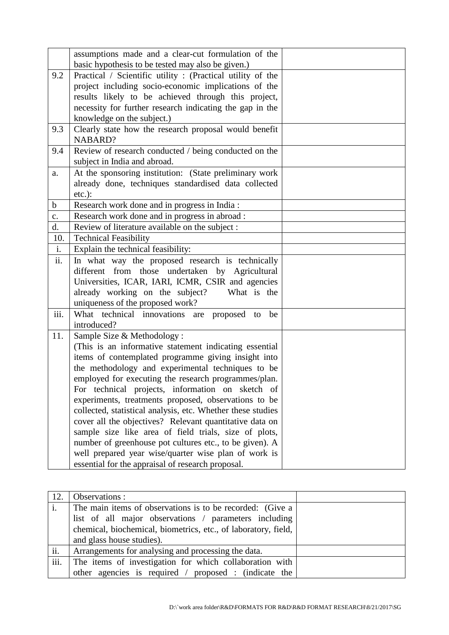|                           | assumptions made and a clear-cut formulation of the                     |  |
|---------------------------|-------------------------------------------------------------------------|--|
|                           | basic hypothesis to be tested may also be given.)                       |  |
| 9.2                       | Practical / Scientific utility : (Practical utility of the              |  |
|                           | project including socio-economic implications of the                    |  |
|                           | results likely to be achieved through this project,                     |  |
|                           | necessity for further research indicating the gap in the                |  |
|                           | knowledge on the subject.)                                              |  |
| 9.3                       | Clearly state how the research proposal would benefit<br><b>NABARD?</b> |  |
| 9.4                       | Review of research conducted / being conducted on the                   |  |
|                           | subject in India and abroad.                                            |  |
| a.                        | At the sponsoring institution: (State preliminary work                  |  |
|                           | already done, techniques standardised data collected                    |  |
|                           | $etc.$ ):                                                               |  |
| $\mathbf b$               | Research work done and in progress in India :                           |  |
| $\mathbf{c}$ .            | Research work done and in progress in abroad :                          |  |
| d.                        | Review of literature available on the subject :                         |  |
| 10.                       | <b>Technical Feasibility</b>                                            |  |
| $\overline{\mathbf{i}}$ . | Explain the technical feasibility:                                      |  |
| ii.                       | In what way the proposed research is technically                        |  |
|                           | different from those undertaken by Agricultural                         |  |
|                           | Universities, ICAR, IARI, ICMR, CSIR and agencies                       |  |
|                           | already working on the subject?<br>What is the                          |  |
|                           | uniqueness of the proposed work?                                        |  |
| iii.                      | What technical innovations are proposed to<br>be                        |  |
|                           | introduced?                                                             |  |
| 11.                       | Sample Size & Methodology:                                              |  |
|                           | (This is an informative statement indicating essential                  |  |
|                           | items of contemplated programme giving insight into                     |  |
|                           | the methodology and experimental techniques to be                       |  |
|                           | employed for executing the research programmes/plan.                    |  |
|                           | For technical projects, information on sketch of                        |  |
|                           | experiments, treatments proposed, observations to be                    |  |
|                           | collected, statistical analysis, etc. Whether these studies             |  |
|                           | cover all the objectives? Relevant quantitative data on                 |  |
|                           | sample size like area of field trials, size of plots,                   |  |
|                           | number of greenhouse pot cultures etc., to be given). A                 |  |
|                           | well prepared year wise/quarter wise plan of work is                    |  |
|                           | essential for the appraisal of research proposal.                       |  |

|      | Observations :                                                 |  |
|------|----------------------------------------------------------------|--|
|      | The main items of observations is to be recorded: (Give a      |  |
|      | list of all major observations / parameters including          |  |
|      | chemical, biochemical, biometrics, etc., of laboratory, field, |  |
|      | and glass house studies).                                      |  |
| ii.  | Arrangements for analysing and processing the data.            |  |
| iii. | The items of investigation for which collaboration with        |  |
|      | other agencies is required / proposed : (indicate the          |  |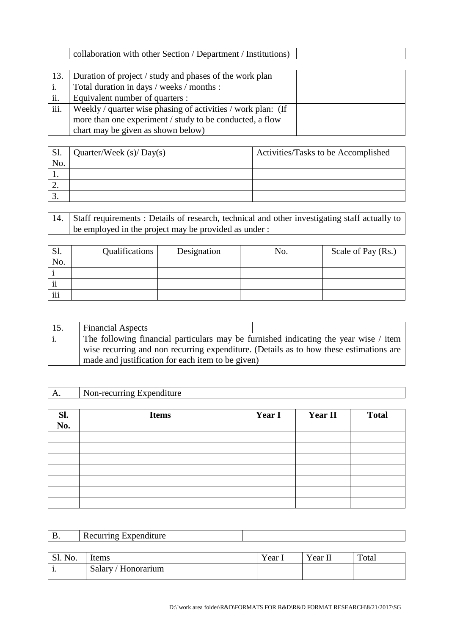| collaboration with other Section / Department / Institutions) |  |
|---------------------------------------------------------------|--|

| 13.  | Duration of project / study and phases of the work plan      |
|------|--------------------------------------------------------------|
| 1.   | Total duration in days / weeks / months :                    |
| ii.  | Equivalent number of quarters :                              |
| iii. | Weekly / quarter wise phasing of activities / work plan: (If |
|      | more than one experiment / study to be conducted, a flow     |
|      | chart may be given as shown below)                           |

| Sl. | Quarter/Week $(s)$ /Day $(s)$ | Activities/Tasks to be Accomplished |
|-----|-------------------------------|-------------------------------------|
| No. |                               |                                     |
| . . |                               |                                     |
| ∠.  |                               |                                     |
| J.  |                               |                                     |

14. Staff requirements : Details of research, technical and other investigating staff actually to be employed in the project may be provided as under :

| S1.<br>No.          | Qualifications | Designation | No. | Scale of Pay (Rs.) |
|---------------------|----------------|-------------|-----|--------------------|
|                     |                |             |     |                    |
| $\cdot \cdot$<br>11 |                |             |     |                    |
| iii                 |                |             |     |                    |

| 15. | <b>Financial Aspects</b>                                                               |  |
|-----|----------------------------------------------------------------------------------------|--|
|     | The following financial particulars may be furnished indicating the year wise / item   |  |
|     | wise recurring and non recurring expenditure. (Details as to how these estimations are |  |
|     | made and justification for each item to be given)                                      |  |

A. Non-recurring Expenditure

| Sl.<br>No. | <b>Items</b> | Year I | Year II | <b>Total</b> |
|------------|--------------|--------|---------|--------------|
|            |              |        |         |              |
|            |              |        |         |              |
|            |              |        |         |              |
|            |              |        |         |              |
|            |              |        |         |              |
|            |              |        |         |              |
|            |              |        |         |              |

|         | Recurring Expenditure |        |         |       |
|---------|-----------------------|--------|---------|-------|
|         |                       |        |         |       |
| Sl. No. | Items                 | Year i | Year II | Total |
|         | Salary / Honorarium   |        |         |       |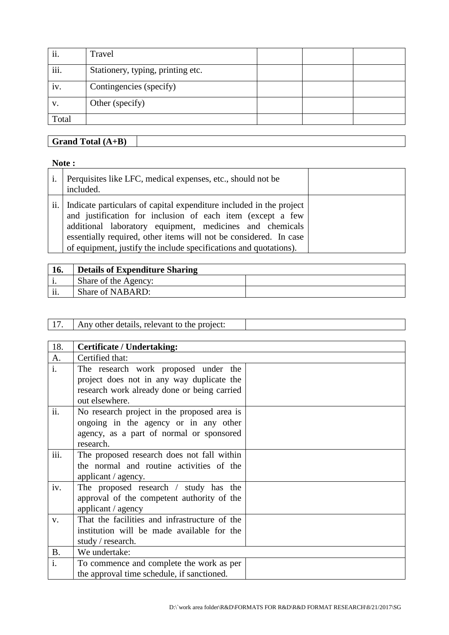| ii.   | Travel                            |  |  |
|-------|-----------------------------------|--|--|
| iii.  | Stationery, typing, printing etc. |  |  |
| iv.   | Contingencies (specify)           |  |  |
| V.    | Other (specify)                   |  |  |
| Total |                                   |  |  |

**Grand Total (A+B)**

## **Note :**

| $\mathbf{1}$ . | Perquisites like LFC, medical expenses, etc., should not be<br>included.                                                                                                                                                                                                                                                                    |  |
|----------------|---------------------------------------------------------------------------------------------------------------------------------------------------------------------------------------------------------------------------------------------------------------------------------------------------------------------------------------------|--|
|                | ii. Indicate particulars of capital expenditure included in the project<br>and justification for inclusion of each item (except a few<br>additional laboratory equipment, medicines and chemicals<br>essentially required, other items will not be considered. In case<br>of equipment, justify the include specifications and quotations). |  |

| <b>16.</b> | <b>Details of Expenditure Sharing</b> |  |
|------------|---------------------------------------|--|
|            | Share of the Agency:                  |  |
| ii.        | Share of NABARD:                      |  |

|  | 17. | Any other details, relevant to the project: |  |  |
|--|-----|---------------------------------------------|--|--|
|--|-----|---------------------------------------------|--|--|

| 18.              | <b>Certificate / Undertaking:</b>                                                                                                                  |  |
|------------------|----------------------------------------------------------------------------------------------------------------------------------------------------|--|
| A.               | Certified that:                                                                                                                                    |  |
| $\overline{i}$ . | The research work proposed under the<br>project does not in any way duplicate the<br>research work already done or being carried<br>out elsewhere. |  |
| ii.              | No research project in the proposed area is<br>ongoing in the agency or in any other<br>agency, as a part of normal or sponsored<br>research.      |  |
| iii.             | The proposed research does not fall within<br>the normal and routine activities of the<br>applicant / agency.                                      |  |
| iv.              | The proposed research / study has the<br>approval of the competent authority of the<br>applicant / agency                                          |  |
| V.               | That the facilities and infrastructure of the<br>institution will be made available for the<br>study / research.                                   |  |
| <b>B.</b>        | We undertake:                                                                                                                                      |  |
| $\mathbf{i}$ .   | To commence and complete the work as per<br>the approval time schedule, if sanctioned.                                                             |  |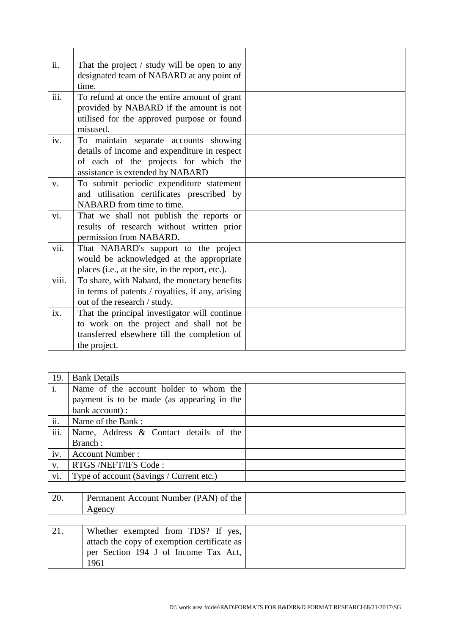| ii.                       | That the project / study will be open to any<br>designated team of NABARD at any point of |  |
|---------------------------|-------------------------------------------------------------------------------------------|--|
|                           | time.                                                                                     |  |
| $\overline{\text{iii}}$ . | To refund at once the entire amount of grant                                              |  |
|                           | provided by NABARD if the amount is not                                                   |  |
|                           | utilised for the approved purpose or found<br>misused.                                    |  |
| iv.                       | To maintain separate accounts showing                                                     |  |
|                           | details of income and expenditure in respect                                              |  |
|                           | of each of the projects for which the                                                     |  |
|                           | assistance is extended by NABARD                                                          |  |
| V.                        | To submit periodic expenditure statement                                                  |  |
|                           | and utilisation certificates prescribed by                                                |  |
|                           | NABARD from time to time.                                                                 |  |
| vi.                       | That we shall not publish the reports or                                                  |  |
|                           | results of research without written prior                                                 |  |
|                           | permission from NABARD.                                                                   |  |
| vii.                      | That NABARD's support to the project                                                      |  |
|                           | would be acknowledged at the appropriate                                                  |  |
|                           | places (i.e., at the site, in the report, etc.).                                          |  |
| viii.                     | To share, with Nabard, the monetary benefits                                              |  |
|                           | in terms of patents / royalties, if any, arising                                          |  |
|                           | out of the research / study.                                                              |  |
| ix.                       | That the principal investigator will continue                                             |  |
|                           | to work on the project and shall not be                                                   |  |
|                           | transferred elsewhere till the completion of                                              |  |
|                           | the project.                                                                              |  |

| 19.  | <b>Bank Details</b>                        |  |
|------|--------------------------------------------|--|
| i.   | Name of the account holder to whom the     |  |
|      | payment is to be made (as appearing in the |  |
|      | bank account) :                            |  |
| ii.  | Name of the Bank:                          |  |
| iii. | Name, Address & Contact details of the     |  |
|      | Branch:                                    |  |
| iv.  | <b>Account Number:</b>                     |  |
| V.   | RTGS /NEFT/IFS Code:                       |  |
| vi.  | Type of account (Savings / Current etc.)   |  |

| 20. | Permanent Account Number (PAN) of the       |  |
|-----|---------------------------------------------|--|
|     | Agency                                      |  |
|     |                                             |  |
| 21. | Whether exempted from TDS? If yes,          |  |
|     | attach the copy of exemption certificate as |  |
|     | per Section 194 J of Income Tax Act,        |  |
|     | 1961                                        |  |